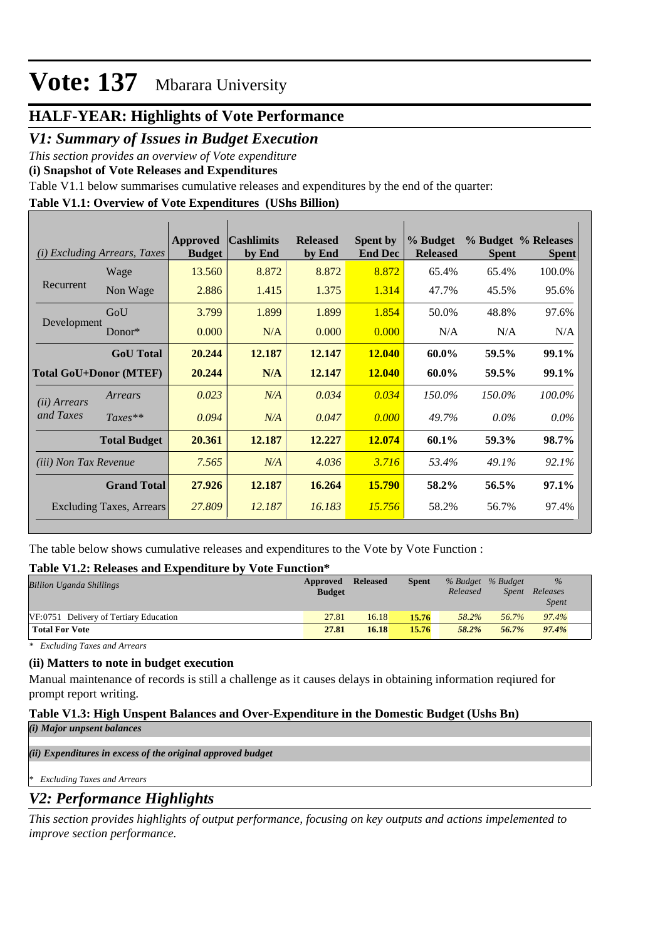## **HALF-YEAR: Highlights of Vote Performance**

## *V1: Summary of Issues in Budget Execution*

*This section provides an overview of Vote expenditure* 

**(i) Snapshot of Vote Releases and Expenditures**

Table V1.1 below summarises cumulative releases and expenditures by the end of the quarter:

### **Table V1.1: Overview of Vote Expenditures (UShs Billion)**

| (i) Excluding Arrears, Taxes  |                     | Approved<br><b>Budget</b> | <b>Cashlimits</b><br>by End | <b>Released</b><br>by End | <b>Spent by</b><br><b>End Dec</b> | % Budget<br><b>Released</b> | <b>Spent</b> | % Budget % Releases<br><b>Spent</b> |
|-------------------------------|---------------------|---------------------------|-----------------------------|---------------------------|-----------------------------------|-----------------------------|--------------|-------------------------------------|
| Recurrent                     | Wage                | 13.560                    | 8.872                       | 8.872                     | 8.872                             | 65.4%                       | 65.4%        | 100.0%                              |
|                               | Non Wage            | 2.886                     | 1.415                       | 1.375                     | 1.314                             | 47.7%                       | 45.5%        | 95.6%                               |
| Development                   | GoU                 | 3.799                     | 1.899                       | 1.899                     | 1.854                             | 50.0%                       | 48.8%        | 97.6%                               |
|                               | Donor*              | 0.000                     | N/A                         | 0.000                     | 0.000                             | N/A                         | N/A          | N/A                                 |
|                               | <b>GoU</b> Total    | 20.244                    | 12.187                      | 12.147                    | <b>12.040</b>                     | 60.0%                       | 59.5%        | 99.1%                               |
| <b>Total GoU+Donor (MTEF)</b> |                     | 20.244                    | N/A                         | 12.147                    | <b>12.040</b>                     | 60.0%                       | 59.5%        | 99.1%                               |
| ( <i>ii</i> ) Arrears         | Arrears             | 0.023                     | N/A                         | 0.034                     | 0.034                             | 150.0%                      | 150.0%       | 100.0%                              |
| and Taxes                     | $Taxes**$           | 0.094                     | N/A                         | 0.047                     | 0.000                             | 49.7%                       | $0.0\%$      | $0.0\%$                             |
|                               | <b>Total Budget</b> | 20.361                    | 12.187                      | 12.227                    | 12.074                            | 60.1%                       | 59.3%        | 98.7%                               |
| <i>(iii)</i> Non Tax Revenue  |                     | 7.565                     | N/A                         | 4.036                     | 3.716                             | 53.4%                       | 49.1%        | 92.1%                               |
|                               | <b>Grand Total</b>  | 27.926                    | 12.187                      | 16.264                    | <b>15.790</b>                     | 58.2%                       | 56.5%        | 97.1%                               |
| Excluding Taxes, Arrears      |                     | 27.809                    | 12.187                      | 16.183                    | 15.756                            | 58.2%                       | 56.7%        | 97.4%                               |

The table below shows cumulative releases and expenditures to the Vote by Vote Function :

### **Table V1.2: Releases and Expenditure by Vote Function\***

| <b>Billion Uganda Shillings</b>        | Approved<br><b>Budget</b> | <b>Released</b> | <b>Spent</b> | % Budget % Budget<br>Released | Spent | $\frac{0}{0}$<br>Releases<br><i>Spent</i> |
|----------------------------------------|---------------------------|-----------------|--------------|-------------------------------|-------|-------------------------------------------|
| VF:0751 Delivery of Tertiary Education | 27.81                     | 16.18           | 15.76        | 58.2%                         | 56.7% | 97.4%                                     |
| <b>Total For Vote</b>                  | 27.81                     | 16.18           | 15.76        | 58.2%                         | 56.7% | 97.4%                                     |

*\* Excluding Taxes and Arrears*

### **(ii) Matters to note in budget execution**

Manual maintenance of records is still a challenge as it causes delays in obtaining information reqiured for prompt report writing.

### **Table V1.3: High Unspent Balances and Over-Expenditure in the Domestic Budget (Ushs Bn)** *(i) Major unpsent balances*

*(ii) Expenditures in excess of the original approved budget*

*\* Excluding Taxes and Arrears*

## *V2: Performance Highlights*

*This section provides highlights of output performance, focusing on key outputs and actions impelemented to improve section performance.*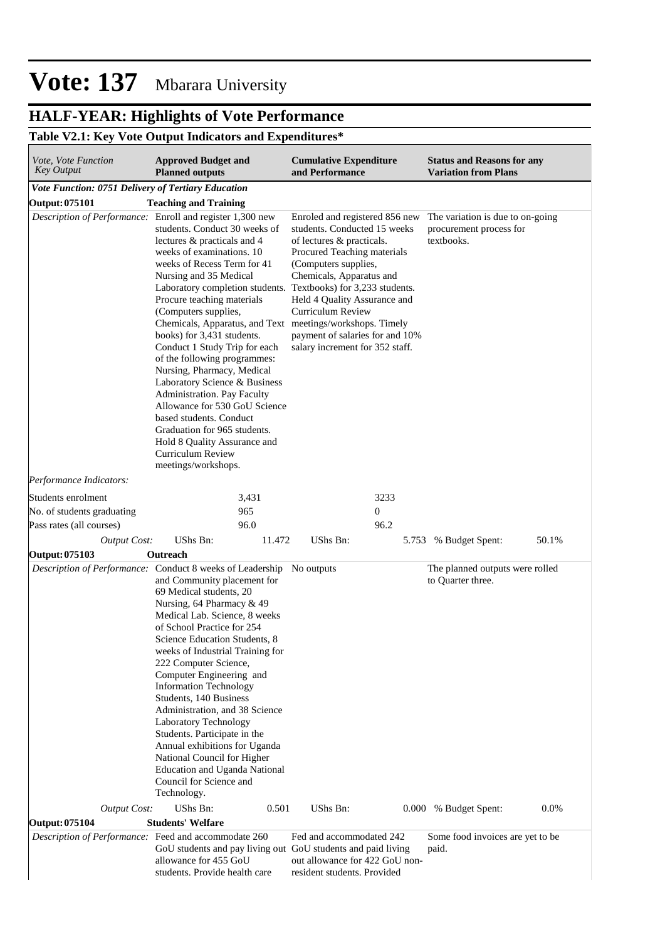# **HALF-YEAR: Highlights of Vote Performance**

## **Table V2.1: Key Vote Output Indicators and Expenditures\***

| <i>Vote, Vote Function</i><br><b>Approved Budget and</b><br><b>Key Output</b><br><b>Planned outputs</b> |                                                                                                                                                                                                                                                                                                                                                                                                                                                                                                                                                                                                                                                                                                                                                                                                                                                                                                                                                                                                                                                                                        | <b>Cumulative Expenditure</b><br>and Performance              | <b>Status and Reasons for any</b><br><b>Variation from Plans</b>          |  |  |
|---------------------------------------------------------------------------------------------------------|----------------------------------------------------------------------------------------------------------------------------------------------------------------------------------------------------------------------------------------------------------------------------------------------------------------------------------------------------------------------------------------------------------------------------------------------------------------------------------------------------------------------------------------------------------------------------------------------------------------------------------------------------------------------------------------------------------------------------------------------------------------------------------------------------------------------------------------------------------------------------------------------------------------------------------------------------------------------------------------------------------------------------------------------------------------------------------------|---------------------------------------------------------------|---------------------------------------------------------------------------|--|--|
| Vote Function: 0751 Delivery of Tertiary Education                                                      |                                                                                                                                                                                                                                                                                                                                                                                                                                                                                                                                                                                                                                                                                                                                                                                                                                                                                                                                                                                                                                                                                        |                                                               |                                                                           |  |  |
| <b>Output: 075101</b>                                                                                   | <b>Teaching and Training</b>                                                                                                                                                                                                                                                                                                                                                                                                                                                                                                                                                                                                                                                                                                                                                                                                                                                                                                                                                                                                                                                           |                                                               |                                                                           |  |  |
|                                                                                                         | Description of Performance: Enroll and register 1,300 new<br>Enroled and registered 856 new<br>students. Conduct 30 weeks of<br>students. Conducted 15 weeks<br>lectures & practicals and 4<br>of lectures & practicals.<br>weeks of examinations. 10<br>Procured Teaching materials<br>weeks of Recess Term for 41<br>(Computers supplies,<br>Nursing and 35 Medical<br>Chemicals, Apparatus and<br>Laboratory completion students. Textbooks) for 3,233 students.<br>Procure teaching materials<br>Held 4 Quality Assurance and<br>(Computers supplies,<br>Curriculum Review<br>Chemicals, Apparatus, and Text meetings/workshops. Timely<br>books) for 3,431 students.<br>payment of salaries for and 10%<br>Conduct 1 Study Trip for each<br>salary increment for 352 staff.<br>of the following programmes:<br>Nursing, Pharmacy, Medical<br>Laboratory Science & Business<br>Administration. Pay Faculty<br>Allowance for 530 GoU Science<br>based students. Conduct<br>Graduation for 965 students.<br>Hold 8 Quality Assurance and<br>Curriculum Review<br>meetings/workshops. |                                                               | The variation is due to on-going<br>procurement process for<br>textbooks. |  |  |
| Performance Indicators:                                                                                 |                                                                                                                                                                                                                                                                                                                                                                                                                                                                                                                                                                                                                                                                                                                                                                                                                                                                                                                                                                                                                                                                                        |                                                               |                                                                           |  |  |
| Students enrolment                                                                                      | 3,431                                                                                                                                                                                                                                                                                                                                                                                                                                                                                                                                                                                                                                                                                                                                                                                                                                                                                                                                                                                                                                                                                  | 3233                                                          |                                                                           |  |  |
| No. of students graduating                                                                              | 965                                                                                                                                                                                                                                                                                                                                                                                                                                                                                                                                                                                                                                                                                                                                                                                                                                                                                                                                                                                                                                                                                    | $\mathbf{0}$                                                  |                                                                           |  |  |
| Pass rates (all courses)                                                                                | 96.0                                                                                                                                                                                                                                                                                                                                                                                                                                                                                                                                                                                                                                                                                                                                                                                                                                                                                                                                                                                                                                                                                   | 96.2                                                          |                                                                           |  |  |
| <b>Output Cost:</b>                                                                                     | UShs Bn:<br>11.472                                                                                                                                                                                                                                                                                                                                                                                                                                                                                                                                                                                                                                                                                                                                                                                                                                                                                                                                                                                                                                                                     | UShs Bn:<br>5.753                                             | % Budget Spent:<br>50.1%                                                  |  |  |
| <b>Output: 075103</b>                                                                                   | Outreach                                                                                                                                                                                                                                                                                                                                                                                                                                                                                                                                                                                                                                                                                                                                                                                                                                                                                                                                                                                                                                                                               |                                                               |                                                                           |  |  |
|                                                                                                         | Description of Performance: Conduct 8 weeks of Leadership No outputs<br>and Community placement for<br>69 Medical students, 20<br>Nursing, 64 Pharmacy & 49<br>Medical Lab. Science, 8 weeks<br>of School Practice for 254<br>Science Education Students, 8<br>weeks of Industrial Training for<br>222 Computer Science,<br>Computer Engineering and<br><b>Information Technology</b><br>Students, 140 Business<br>Administration, and 38 Science<br>Laboratory Technology<br>Students. Participate in the<br>Annual exhibitions for Uganda<br>National Council for Higher<br><b>Education and Uganda National</b><br>Council for Science and<br>Technology.                                                                                                                                                                                                                                                                                                                                                                                                                           |                                                               | The planned outputs were rolled<br>to Quarter three.                      |  |  |
| <b>Output Cost:</b><br><b>Output: 075104</b>                                                            | UShs Bn:<br>0.501<br><b>Students' Welfare</b>                                                                                                                                                                                                                                                                                                                                                                                                                                                                                                                                                                                                                                                                                                                                                                                                                                                                                                                                                                                                                                          | UShs Bn:<br>0.000                                             | 0.0%<br>% Budget Spent:                                                   |  |  |
|                                                                                                         | Description of Performance: Feed and accommodate 260                                                                                                                                                                                                                                                                                                                                                                                                                                                                                                                                                                                                                                                                                                                                                                                                                                                                                                                                                                                                                                   | Fed and accommodated 242                                      | Some food invoices are yet to be                                          |  |  |
|                                                                                                         | GoU students and pay living out GoU students and paid living<br>allowance for 455 GoU<br>students. Provide health care                                                                                                                                                                                                                                                                                                                                                                                                                                                                                                                                                                                                                                                                                                                                                                                                                                                                                                                                                                 | out allowance for 422 GoU non-<br>resident students. Provided | paid.                                                                     |  |  |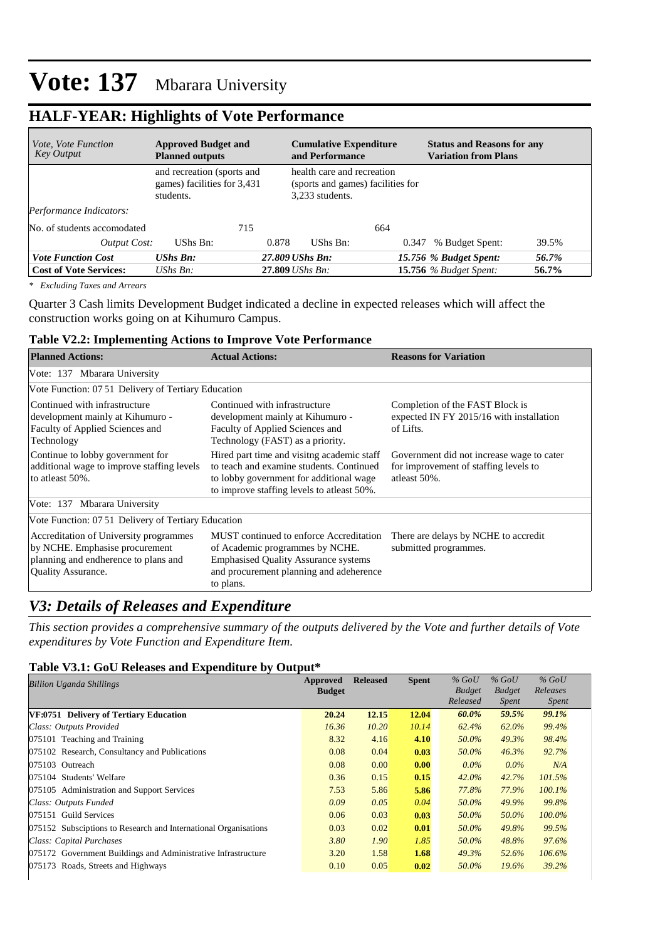## **HALF-YEAR: Highlights of Vote Performance**

| <i>Vote, Vote Function</i><br><b>Key Output</b> | <b>Approved Budget and</b><br><b>Planned outputs</b>                   |       | <b>Cumulative Expenditure</b><br>and Performance                                   |       | <b>Status and Reasons for any</b><br><b>Variation from Plans</b> |       |  |
|-------------------------------------------------|------------------------------------------------------------------------|-------|------------------------------------------------------------------------------------|-------|------------------------------------------------------------------|-------|--|
|                                                 | and recreation (sports and<br>games) facilities for 3,431<br>students. |       | health care and recreation<br>(sports and games) facilities for<br>3.233 students. |       |                                                                  |       |  |
| Performance Indicators:                         |                                                                        |       |                                                                                    |       |                                                                  |       |  |
| No. of students accomodated                     |                                                                        | 715   |                                                                                    | 664   |                                                                  |       |  |
| <b>Output Cost:</b>                             | UShs Bn:                                                               | 0.878 | UShs Bn:                                                                           | 0.347 | % Budget Spent:                                                  | 39.5% |  |
| <b>Vote Function Cost</b>                       | UShs Bn:                                                               |       | 27.809 UShs Bn:                                                                    |       | 15.756 % Budget Spent:                                           | 56.7% |  |
| <b>Cost of Vote Services:</b>                   | UShs $Bn$ :                                                            |       | 27.809 UShs Bn:                                                                    |       | <b>15.756</b> % Budget Spent:                                    | 56.7% |  |

*\* Excluding Taxes and Arrears*

Quarter 3 Cash limits Development Budget indicated a decline in expected releases which will affect the construction works going on at Kihumuro Campus.

#### **Table V2.2: Implementing Actions to Improve Vote Performance**

| <b>Planned Actions:</b>                                                                                                                       | <b>Actual Actions:</b>                                                                                                                                                            | <b>Reasons for Variation</b>                                                                       |  |  |  |  |
|-----------------------------------------------------------------------------------------------------------------------------------------------|-----------------------------------------------------------------------------------------------------------------------------------------------------------------------------------|----------------------------------------------------------------------------------------------------|--|--|--|--|
| Vote: 137 Mbarara University                                                                                                                  |                                                                                                                                                                                   |                                                                                                    |  |  |  |  |
| Vote Function: 07 51 Delivery of Tertiary Education                                                                                           |                                                                                                                                                                                   |                                                                                                    |  |  |  |  |
| Continued with infrastructure<br>development mainly at Kihumuro -<br>Faculty of Applied Sciences and<br>Technology                            | Continued with infrastructure<br>development mainly at Kihumuro -<br>Faculty of Applied Sciences and<br>Technology (FAST) as a priority.                                          | Completion of the FAST Block is<br>expected IN FY 2015/16 with installation<br>of Lifts.           |  |  |  |  |
| Continue to lobby government for<br>additional wage to improve staffing levels<br>to atleast 50%.                                             | Hired part time and visitng academic staff<br>to teach and examine students. Continued<br>to lobby government for additional wage<br>to improve staffing levels to atleast 50%.   | Government did not increase wage to cater<br>for improvement of staffing levels to<br>atleast 50%. |  |  |  |  |
| Vote: 137 Mbarara University                                                                                                                  |                                                                                                                                                                                   |                                                                                                    |  |  |  |  |
| Vote Function: 07 51 Delivery of Tertiary Education                                                                                           |                                                                                                                                                                                   |                                                                                                    |  |  |  |  |
| Accreditation of University programmes<br>by NCHE. Emphasise procurement<br>planning and endherence to plans and<br><b>Quality Assurance.</b> | MUST continued to enforce Accreditation<br>of Academic programmes by NCHE.<br><b>Emphasised Quality Assurance systems</b><br>and procurement planning and adeherence<br>to plans. | There are delays by NCHE to accredit<br>submitted programmes.                                      |  |  |  |  |

## *V3: Details of Releases and Expenditure*

*This section provides a comprehensive summary of the outputs delivered by the Vote and further details of Vote expenditures by Vote Function and Expenditure Item.*

#### **Table V3.1: GoU Releases and Expenditure by Output\***

| Billion Uganda Shillings                                        | Approved      | <b>Released</b> | <b>Spent</b> | $%$ GoU       | $%$ GoU       | $%$ GoU      |
|-----------------------------------------------------------------|---------------|-----------------|--------------|---------------|---------------|--------------|
|                                                                 | <b>Budget</b> |                 |              | <b>Budget</b> | <b>Budget</b> | Releases     |
|                                                                 |               |                 |              | Released      | <i>Spent</i>  | <i>Spent</i> |
| VF:0751 Delivery of Tertiary Education                          | 20.24         | 12.15           | 12.04        | 60.0%         | 59.5%         | 99.1%        |
| Class: Outputs Provided                                         | 16.36         | 10.20           | 10.14        | 62.4%         | 62.0%         | 99.4%        |
| 075101 Teaching and Training                                    | 8.32          | 4.16            | 4.10         | 50.0%         | 49.3%         | 98.4%        |
| 075102 Research, Consultancy and Publications                   | 0.08          | 0.04            | 0.03         | 50.0%         | 46.3%         | 92.7%        |
| 075103 Outreach                                                 | 0.08          | 0.00            | 0.00         | $0.0\%$       | $0.0\%$       | N/A          |
| 075104 Students' Welfare                                        | 0.36          | 0.15            | 0.15         | $42.0\%$      | 42.7%         | 101.5%       |
| 075105 Administration and Support Services                      | 7.53          | 5.86            | 5.86         | 77.8%         | 77.9%         | 100.1%       |
| Class: Outputs Funded                                           | 0.09          | 0.05            | 0.04         | 50.0%         | 49.9%         | 99.8%        |
| 075151 Guild Services                                           | 0.06          | 0.03            | 0.03         | 50.0%         | 50.0%         | 100.0%       |
| 075152 Subsciptions to Research and International Organisations | 0.03          | 0.02            | 0.01         | 50.0%         | 49.8%         | 99.5%        |
| Class: Capital Purchases                                        | 3.80          | 1.90            | 1.85         | 50.0%         | 48.8%         | 97.6%        |
| 075172 Government Buildings and Administrative Infrastructure   | 3.20          | 1.58            | 1.68         | 49.3%         | 52.6%         | $106.6\%$    |
| 075173 Roads, Streets and Highways                              | 0.10          | 0.05            | 0.02         | 50.0%         | $19.6\%$      | 39.2%        |
|                                                                 |               |                 |              |               |               |              |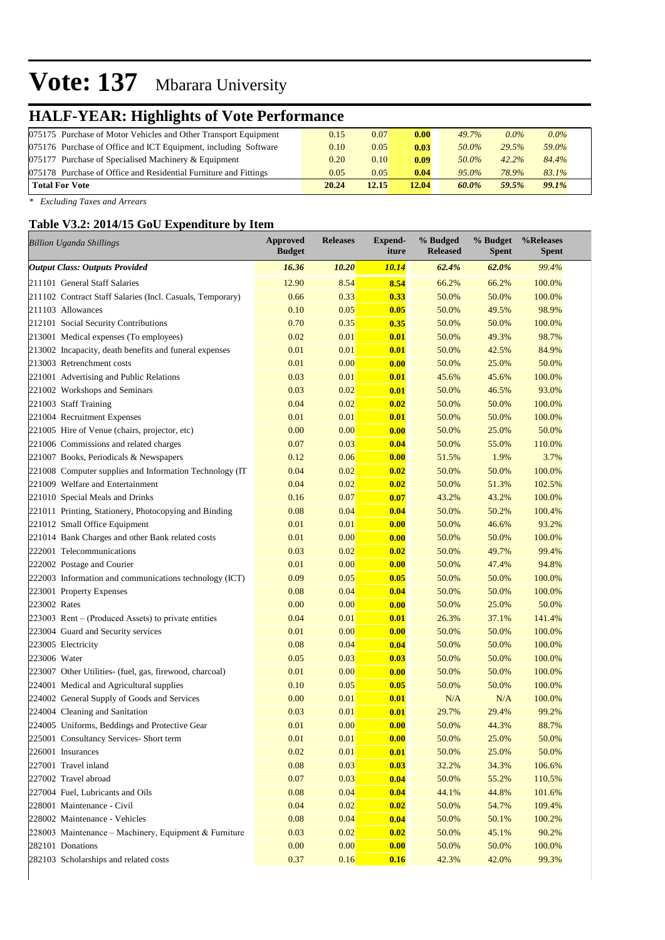# **HALF-YEAR: Highlights of Vote Performance**

| 075175 Purchase of Motor Vehicles and Other Transport Equipment  | 0.15  | 0.07  | 0.00 <sub>l</sub> | 49.7%    | $0.0\%$ | $0.0\%$ |
|------------------------------------------------------------------|-------|-------|-------------------|----------|---------|---------|
| 075176 Purchase of Office and ICT Equipment, including Software  | 0.10  | 0.05  | 0.03              | 50.0%    | 29.5%   | 59.0%   |
| 075177 Purchase of Specialised Machinery & Equipment             | 0.20  | 0.10  | 0.09              | 50.0%    | 42.2%   | 84.4%   |
| 075178 Purchase of Office and Residential Furniture and Fittings | 0.05  | 0.05  | 0.04              | $95.0\%$ | 78.9%   | 83.1%   |
| <b>Total For Vote</b>                                            | 20.24 | 12.15 | 12.04             | 60.0%    | 59.5%   | 99.1%   |

*\* Excluding Taxes and Arrears*

## **Table V3.2: 2014/15 GoU Expenditure by Item**

| <b>Billion Uganda Shillings</b>                           | <b>Approved</b><br><b>Budget</b> | <b>Releases</b> | <b>Expend-</b><br>iture | % Budged<br><b>Released</b> | % Budget<br><b>Spent</b> | %Releases<br><b>Spent</b> |
|-----------------------------------------------------------|----------------------------------|-----------------|-------------------------|-----------------------------|--------------------------|---------------------------|
| <b>Output Class: Outputs Provided</b>                     | 16.36                            | 10.20           | <b>10.14</b>            | 62.4%                       | 62.0%                    | 99.4%                     |
| 211101 General Staff Salaries                             | 12.90                            | 8.54            | 8.54                    | 66.2%                       | 66.2%                    | 100.0%                    |
| 211102 Contract Staff Salaries (Incl. Casuals, Temporary) | 0.66                             | 0.33            | 0.33                    | 50.0%                       | 50.0%                    | 100.0%                    |
| 211103 Allowances                                         | 0.10                             | 0.05            | 0.05                    | 50.0%                       | 49.5%                    | 98.9%                     |
| 212101 Social Security Contributions                      | 0.70                             | 0.35            | 0.35                    | 50.0%                       | 50.0%                    | 100.0%                    |
| 213001 Medical expenses (To employees)                    | 0.02                             | 0.01            | 0.01                    | 50.0%                       | 49.3%                    | 98.7%                     |
| 213002 Incapacity, death benefits and funeral expenses    | 0.01                             | 0.01            | 0.01                    | 50.0%                       | 42.5%                    | 84.9%                     |
| 213003 Retrenchment costs                                 | 0.01                             | 0.00            | 0.00                    | 50.0%                       | 25.0%                    | 50.0%                     |
| 221001 Advertising and Public Relations                   | 0.03                             | 0.01            | 0.01                    | 45.6%                       | 45.6%                    | 100.0%                    |
| 221002 Workshops and Seminars                             | 0.03                             | 0.02            | 0.01                    | 50.0%                       | 46.5%                    | 93.0%                     |
| 221003 Staff Training                                     | 0.04                             | 0.02            | 0.02                    | 50.0%                       | 50.0%                    | 100.0%                    |
| 221004 Recruitment Expenses                               | 0.01                             | 0.01            | 0.01                    | 50.0%                       | 50.0%                    | 100.0%                    |
| 221005 Hire of Venue (chairs, projector, etc)             | 0.00                             | 0.00            | 0.00                    | 50.0%                       | 25.0%                    | 50.0%                     |
| 221006 Commissions and related charges                    | 0.07                             | 0.03            | 0.04                    | 50.0%                       | 55.0%                    | 110.0%                    |
| 221007 Books, Periodicals & Newspapers                    | 0.12                             | 0.06            | 0.00                    | 51.5%                       | 1.9%                     | 3.7%                      |
| 221008 Computer supplies and Information Technology (IT   | 0.04                             | 0.02            | 0.02                    | 50.0%                       | 50.0%                    | 100.0%                    |
| 221009 Welfare and Entertainment                          | 0.04                             | 0.02            | 0.02                    | 50.0%                       | 51.3%                    | 102.5%                    |
| 221010 Special Meals and Drinks                           | 0.16                             | 0.07            | 0.07                    | 43.2%                       | 43.2%                    | 100.0%                    |
| 221011 Printing, Stationery, Photocopying and Binding     | 0.08                             | 0.04            | 0.04                    | 50.0%                       | 50.2%                    | 100.4%                    |
| 221012 Small Office Equipment                             | 0.01                             | 0.01            | 0.00                    | 50.0%                       | 46.6%                    | 93.2%                     |
| 221014 Bank Charges and other Bank related costs          | 0.01                             | 0.00            | 0.00                    | 50.0%                       | 50.0%                    | 100.0%                    |
| 222001 Telecommunications                                 | 0.03                             | 0.02            | 0.02                    | 50.0%                       | 49.7%                    | 99.4%                     |
| 222002 Postage and Courier                                | 0.01                             | 0.00            | 0.00                    | 50.0%                       | 47.4%                    | 94.8%                     |
| 222003 Information and communications technology (ICT)    | 0.09                             | 0.05            | 0.05                    | 50.0%                       | 50.0%                    | 100.0%                    |
| 223001 Property Expenses                                  | 0.08                             | 0.04            | 0.04                    | 50.0%                       | 50.0%                    | 100.0%                    |
| 223002 Rates                                              | 0.00                             | 0.00            | 0.00                    | 50.0%                       | 25.0%                    | 50.0%                     |
| 223003 Rent – (Produced Assets) to private entities       | 0.04                             | 0.01            | 0.01                    | 26.3%                       | 37.1%                    | 141.4%                    |
| 223004 Guard and Security services                        | 0.01                             | 0.00            | 0.00                    | 50.0%                       | 50.0%                    | 100.0%                    |
| 223005 Electricity                                        | 0.08                             | 0.04            | 0.04                    | 50.0%                       | 50.0%                    | 100.0%                    |
| 223006 Water                                              | 0.05                             | 0.03            | 0.03                    | 50.0%                       | 50.0%                    | 100.0%                    |
| 223007 Other Utilities- (fuel, gas, firewood, charcoal)   | 0.01                             | 0.00            | 0.00                    | 50.0%                       | 50.0%                    | 100.0%                    |
| 224001 Medical and Agricultural supplies                  | 0.10                             | 0.05            | 0.05                    | 50.0%                       | 50.0%                    | 100.0%                    |
| 224002 General Supply of Goods and Services               | 0.00                             | 0.01            | 0.01                    | N/A                         | N/A                      | 100.0%                    |
| 224004 Cleaning and Sanitation                            | 0.03                             | 0.01            | 0.01                    | 29.7%                       | 29.4%                    | 99.2%                     |
| 224005 Uniforms, Beddings and Protective Gear             | 0.01                             | 0.00            | 0.00                    | 50.0%                       | 44.3%                    | 88.7%                     |
| 225001 Consultancy Services- Short term                   | 0.01                             | 0.01            | 0.00                    | 50.0%                       | 25.0%                    | 50.0%                     |
| 226001 Insurances                                         | 0.02                             | 0.01            | 0.01                    | 50.0%                       | 25.0%                    | 50.0%                     |
| 227001 Travel inland                                      | 0.08                             | 0.03            | 0.03                    | 32.2%                       | 34.3%                    | 106.6%                    |
| 227002 Travel abroad                                      | 0.07                             | 0.03            | 0.04                    | 50.0%                       | 55.2%                    | 110.5%                    |
| 227004 Fuel, Lubricants and Oils                          | 0.08                             | 0.04            | 0.04                    | 44.1%                       | 44.8%                    | 101.6%                    |
| 228001 Maintenance - Civil                                | 0.04                             | 0.02            | 0.02                    | 50.0%                       | 54.7%                    | 109.4%                    |
| 228002 Maintenance - Vehicles                             | 0.08                             | 0.04            | 0.04                    | 50.0%                       | 50.1%                    | 100.2%                    |
| 228003 Maintenance - Machinery, Equipment & Furniture     | 0.03                             | 0.02            | 0.02                    | 50.0%                       | 45.1%                    | 90.2%                     |
| 282101 Donations                                          | 0.00                             | 0.00            | 0.00                    | 50.0%                       | 50.0%                    | 100.0%                    |
| 282103 Scholarships and related costs                     | 0.37                             | 0.16            | 0.16                    | 42.3%                       | 42.0%                    | 99.3%                     |